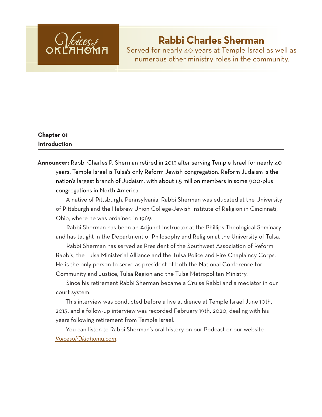

# **Rabbi Charles Sherman**

Served for nearly 40 years at Temple Israel as well as numerous other ministry roles in the community.

# **Chapter 01 Introduction**

**Announcer:** Rabbi Charles P. Sherman retired in 2013 after serving Temple Israel for nearly 40 years. Temple Israel is Tulsa's only Reform Jewish congregation. Reform Judaism is the nation's largest branch of Judaism, with about 1.5 million members in some 900-plus congregations in North America.

A native of Pittsburgh, Pennsylvania, Rabbi Sherman was educated at the University of Pittsburgh and the Hebrew Union College-Jewish Institute of Religion in Cincinnati, Ohio, where he was ordained in 1969.

Rabbi Sherman has been an Adjunct Instructor at the Phillips Theological Seminary and has taught in the Department of Philosophy and Religion at the University of Tulsa.

Rabbi Sherman has served as President of the Southwest Association of Reform Rabbis, the Tulsa Ministerial Alliance and the Tulsa Police and Fire Chaplaincy Corps. He is the only person to serve as president of both the National Conference for Community and Justice, Tulsa Region and the Tulsa Metropolitan Ministry.

Since his retirement Rabbi Sherman became a Cruise Rabbi and a mediator in our court system.

This interview was conducted before a live audience at Temple Israel June 10th, 2013, and a follow-up interview was recorded February 19th, 2020, dealing with his years following retirement from Temple Israel.

You can listen to Rabbi Sherman's oral history on our Podcast or our website *VoicesofOklahoma.com*.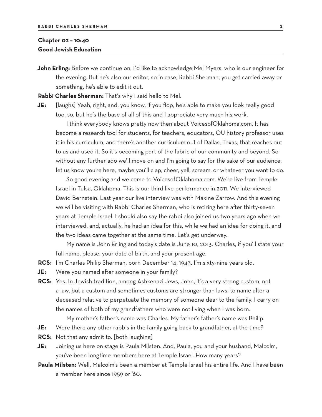## **Chapter 02 – 10:40 Good Jewish Education**

**John Erling:** Before we continue on, I'd like to acknowledge Mel Myers, who is our engineer for the evening. But he's also our editor, so in case, Rabbi Sherman, you get carried away or something, he's able to edit it out.

**Rabbi Charles Sherman:** That's why I said hello to Mel.

**JE:** [laughs] Yeah, right, and, you know, if you flop, he's able to make you look really good too, so, but he's the base of all of this and I appreciate very much his work.

I think everybody knows pretty now then about VoicesofOklahoma.com. It has become a research tool for students, for teachers, educators, OU history professor uses it in his curriculum, and there's another curriculum out of Dallas, Texas, that reaches out to us and used it. So it's becoming part of the fabric of our community and beyond. So without any further ado we'll move on and I'm going to say for the sake of our audience, let us know you're here, maybe you'll clap, cheer, yell, scream, or whatever you want to do.

So good evening and welcome to VoicesofOklahoma.com. We're live from Temple Israel in Tulsa, Oklahoma. This is our third live performance in 2011. We interviewed David Bernstein. Last year our live interview was with Maxine Zarrow. And this evening we will be visiting with Rabbi Charles Sherman, who is retiring here after thirty-seven years at Temple Israel. I should also say the rabbi also joined us two years ago when we interviewed, and, actually, he had an idea for this, while we had an idea for doing it, and the two ideas came together at the same time. Let's get underway.

My name is John Erling and today's date is June 10, 2013. Charles, if you'll state your full name, please, your date of birth, and your present age.

- **RCS:** I'm Charles Philip Sherman, born December 14, 1943. I'm sixty-nine years old.
- **JE:** Were you named after someone in your family?
- **RCS:** Yes. In Jewish tradition, among Ashkenazi Jews, John, it's a very strong custom, not a law, but a custom and sometimes customs are stronger than laws, to name after a deceased relative to perpetuate the memory of someone dear to the family. I carry on the names of both of my grandfathers who were not living when I was born.
	- My mother's father's name was Charles. My father's father's name was Philip.
- **JE:** Were there any other rabbis in the family going back to grandfather, at the time?
- **RCS:** Not that any admit to. [both laughing]
- **JE:** Joining us here on stage is Paula Milsten. And, Paula, you and your husband, Malcolm, you've been longtime members here at Temple Israel. How many years?
- **Paula Milsten:** Well, Malcolm's been a member at Temple Israel his entire life. And I have been a member here since 1959 or '60.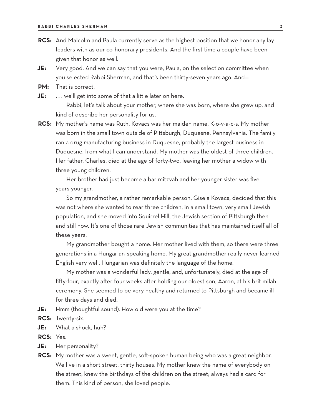- **RCS:** And Malcolm and Paula currently serve as the highest position that we honor any lay leaders with as our co-honorary presidents. And the first time a couple have been given that honor as well.
- **JE:** Very good. And we can say that you were, Paula, on the selection committee when you selected Rabbi Sherman, and that's been thirty-seven years ago. And—
- **PM:** That is correct.
- **JE:** ... we'll get into some of that a little later on here.

Rabbi, let's talk about your mother, where she was born, where she grew up, and kind of describe her personality for us.

**RCS:** My mother's name was Ruth. Kovacs was her maiden name, K-o-v-a-c-s. My mother was born in the small town outside of Pittsburgh, Duquesne, Pennsylvania. The family ran a drug manufacturing business in Duquesne, probably the largest business in Duquesne, from what I can understand. My mother was the oldest of three children. Her father, Charles, died at the age of forty-two, leaving her mother a widow with three young children.

Her brother had just become a bar mitzvah and her younger sister was five years younger.

So my grandmother, a rather remarkable person, Gisela Kovacs, decided that this was not where she wanted to rear three children, in a small town, very small Jewish population, and she moved into Squirrel Hill, the Jewish section of Pittsburgh then and still now. It's one of those rare Jewish communities that has maintained itself all of these years.

My grandmother bought a home. Her mother lived with them, so there were three generations in a Hungarian-speaking home. My great grandmother really never learned English very well. Hungarian was definitely the language of the home.

My mother was a wonderful lady, gentle, and, unfortunately, died at the age of fifty-four, exactly after four weeks after holding our oldest son, Aaron, at his brit milah ceremony. She seemed to be very healthy and returned to Pittsburgh and became ill for three days and died.

- **JE:** Hmm (thoughtful sound). How old were you at the time?
- **RCS:** Twenty-six.
- **JE:** What a shock, huh?
- **RCS:** Yes.
- **JE:** Her personality?
- **RCS:** My mother was a sweet, gentle, soft-spoken human being who was a great neighbor. We live in a short street, thirty houses. My mother knew the name of everybody on the street; knew the birthdays of the children on the street; always had a card for them. This kind of person, she loved people.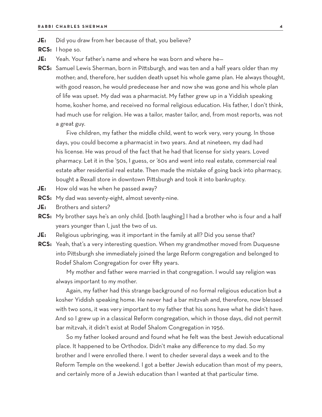**JE:** Did you draw from her because of that, you believe?

**RCS:** I hope so.

- **JE:** Yeah. Your father's name and where he was born and where he—
- **RCS:** Samuel Lewis Sherman, born in Pittsburgh, and was ten and a half years older than my mother; and, therefore, her sudden death upset his whole game plan. He always thought, with good reason, he would predecease her and now she was gone and his whole plan of life was upset. My dad was a pharmacist. My father grew up in a Yiddish speaking home, kosher home, and received no formal religious education. His father, I don't think, had much use for religion. He was a tailor, master tailor, and, from most reports, was not a great guy.

Five children, my father the middle child, went to work very, very young. In those days, you could become a pharmacist in two years. And at nineteen, my dad had his license. He was proud of the fact that he had that license for sixty years. Loved pharmacy. Let it in the '50s, I guess, or '60s and went into real estate, commercial real estate after residential real estate. Then made the mistake of going back into pharmacy, bought a Rexall store in downtown Pittsburgh and took it into bankruptcy.

- **JE:** How old was he when he passed away?
- **RCS:** My dad was seventy-eight, almost seventy-nine.
- **JE:** Brothers and sisters?
- **RCS:** My brother says he's an only child. [both laughing] I had a brother who is four and a half years younger than I, just the two of us.
- **JE:** Religious upbringing, was it important in the family at all? Did you sense that?
- **RCS:** Yeah, that's a very interesting question. When my grandmother moved from Duquesne into Pittsburgh she immediately joined the large Reform congregation and belonged to Rodef Shalom Congregation for over fifty years.

My mother and father were married in that congregation. I would say religion was always important to my mother.

Again, my father had this strange background of no formal religious education but a kosher Yiddish speaking home. He never had a bar mitzvah and, therefore, now blessed with two sons, it was very important to my father that his sons have what he didn't have. And so I grew up in a classical Reform congregation, which in those days, did not permit bar mitzvah, it didn't exist at Rodef Shalom Congregation in 1956.

So my father looked around and found what he felt was the best Jewish educational place. It happened to be Orthodox. Didn't make any difference to my dad. So my brother and I were enrolled there. I went to cheder several days a week and to the Reform Temple on the weekend. I got a better Jewish education than most of my peers, and certainly more of a Jewish education than I wanted at that particular time.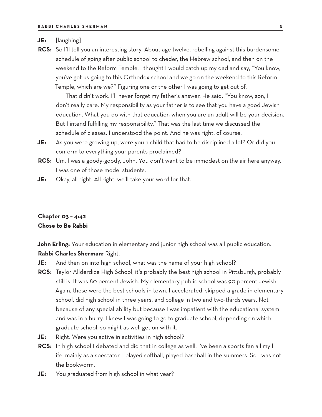#### **JE:** [laughing]

**RCS:** So I'll tell you an interesting story. About age twelve, rebelling against this burdensome schedule of going after public school to cheder, the Hebrew school, and then on the weekend to the Reform Temple, I thought I would catch up my dad and say, "You know, you've got us going to this Orthodox school and we go on the weekend to this Reform Temple, which are we?" Figuring one or the other I was going to get out of.

That didn't work. I'll never forget my father's answer. He said, "You know, son, I don't really care. My responsibility as your father is to see that you have a good Jewish education. What you do with that education when you are an adult will be your decision. But I intend fulfilling my responsibility." That was the last time we discussed the schedule of classes. I understood the point. And he was right, of course.

- **JE:** As you were growing up, were you a child that had to be disciplined a lot? Or did you conform to everything your parents proclaimed?
- **RCS:** Um, I was a goody-goody, John. You don't want to be immodest on the air here anyway. I was one of those model students.
- **JE:** Okay, all right. All right, we'll take your word for that.

## **Chapter 03 – 4:42 Chose to Be Rabbi**

**John Erling:** Your education in elementary and junior high school was all public education. **Rabbi Charles Sherman:** Right.

- **JE:** And then on into high school, what was the name of your high school?
- **RCS:** Taylor Allderdice High School, it's probably the best high school in Pittsburgh, probably still is. It was 80 percent Jewish. My elementary public school was 90 percent Jewish. Again, these were the best schools in town. I accelerated, skipped a grade in elementary school, did high school in three years, and college in two and two-thirds years. Not because of any special ability but because I was impatient with the educational system and was in a hurry. I knew I was going to go to graduate school, depending on which graduate school, so might as well get on with it.
- **JE:** Right. Were you active in activities in high school?
- **RCS:** In high school I debated and did that in college as well. I've been a sports fan all my l ife, mainly as a spectator. I played softball, played baseball in the summers. So I was not the bookworm.
- **JE:** You graduated from high school in what year?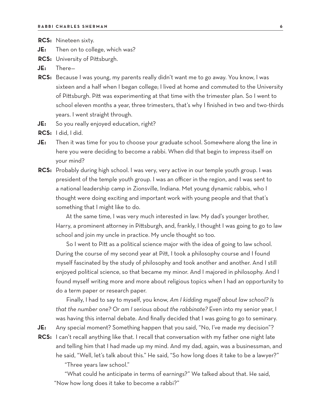- **RCS:** Nineteen sixty.
- **JE:** Then on to college, which was?
- **RCS:** University of Pittsburgh.
- **JE:** There—
- **RCS:** Because I was young, my parents really didn't want me to go away. You know, I was sixteen and a half when I began college; I lived at home and commuted to the University of Pittsburgh. Pitt was experimenting at that time with the trimester plan. So I went to school eleven months a year, three trimesters, that's why I finished in two and two-thirds years. I went straight through.
- **JE:** So you really enjoyed education, right?
- **RCS:** I did, I did.
- **JE:** Then it was time for you to choose your graduate school. Somewhere along the line in here you were deciding to become a rabbi. When did that begin to impress itself on your mind?
- **RCS:** Probably during high school. I was very, very active in our temple youth group. I was president of the temple youth group. I was an officer in the region, and I was sent to a national leadership camp in Zionsville, Indiana. Met young dynamic rabbis, who I thought were doing exciting and important work with young people and that that's something that I might like to do.

At the same time, I was very much interested in law. My dad's younger brother, Harry, a prominent attorney in Pittsburgh, and, frankly, I thought I was going to go to law school and join my uncle in practice. My uncle thought so too.

So I went to Pitt as a political science major with the idea of going to law school. During the course of my second year at Pitt, I took a philosophy course and I found myself fascinated by the study of philosophy and took another and another. And I still enjoyed political science, so that became my minor. And I majored in philosophy. And I found myself writing more and more about religious topics when I had an opportunity to do a term paper or research paper.

Finally, I had to say to myself, you know, *Am I kidding myself about law school? Is that the number one? Or am I serious about the rabbinate?* Even into my senior year, I was having this internal debate. And finally decided that I was going to go to seminary.

**JE:** Any special moment? Something happen that you said, "No, I've made my decision"?

**RCS:** I can't recall anything like that. I recall that conversation with my father one night late and telling him that I had made up my mind. And my dad, again, was a businessman, and he said, "Well, let's talk about this." He said, "So how long does it take to be a lawyer?"

"Three years law school."

"What could he anticipate in terms of earnings?" We talked about that. He said, "Now how long does it take to become a rabbi?"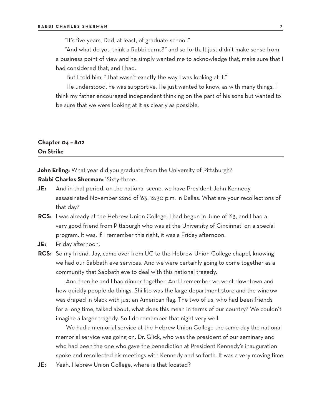"It's five years, Dad, at least, of graduate school."

"And what do you think a Rabbi earns?" and so forth. It just didn't make sense from a business point of view and he simply wanted me to acknowledge that, make sure that I had considered that, and I had.

But I told him, "That wasn't exactly the way I was looking at it."

He understood, he was supportive. He just wanted to know, as with many things, I think my father encouraged independent thinking on the part of his sons but wanted to be sure that we were looking at it as clearly as possible.

# **Chapter 04 – 8:12 On Strike**

**John Erling:** What year did you graduate from the University of Pittsburgh? **Rabbi Charles Sherman:** 'Sixty-three.

- **JE:** And in that period, on the national scene, we have President John Kennedy assassinated November 22nd of '63, 12:30 p.m. in Dallas. What are your recollections of that day?
- **RCS:** I was already at the Hebrew Union College. I had begun in June of '63, and I had a very good friend from Pittsburgh who was at the University of Cincinnati on a special program. It was, if I remember this right, it was a Friday afternoon.
- **JE:** Friday afternoon.
- **RCS:** So my friend, Jay, came over from UC to the Hebrew Union College chapel, knowing we had our Sabbath eve services. And we were certainly going to come together as a community that Sabbath eve to deal with this national tragedy.

And then he and I had dinner together. And I remember we went downtown and how quickly people do things. Shillito was the large department store and the window was draped in black with just an American flag. The two of us, who had been friends for a long time, talked about, what does this mean in terms of our country? We couldn't imagine a larger tragedy. So I do remember that night very well.

We had a memorial service at the Hebrew Union College the same day the national memorial service was going on. Dr. Glick, who was the president of our seminary and who had been the one who gave the benediction at President Kennedy's inauguration spoke and recollected his meetings with Kennedy and so forth. It was a very moving time.

**JE:** Yeah. Hebrew Union College, where is that located?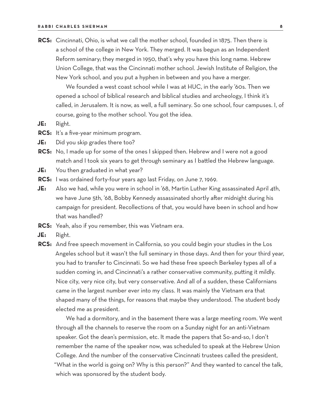**RCS:** Cincinnati, Ohio, is what we call the mother school, founded in 1875. Then there is a school of the college in New York. They merged. It was begun as an Independent Reform seminary; they merged in 1950, that's why you have this long name. Hebrew Union College, that was the Cincinnati mother school. Jewish Institute of Religion, the New York school, and you put a hyphen in between and you have a merger.

We founded a west coast school while I was at HUC, in the early '60s. Then we opened a school of biblical research and biblical studies and archeology, I think it's called, in Jerusalem. It is now, as well, a full seminary. So one school, four campuses. I, of course, going to the mother school. You got the idea.

- **JE:** Right.
- **RCS:** It's a five-year minimum program.
- **JE:** Did you skip grades there too?
- **RCS:** No, I made up for some of the ones I skipped then. Hebrew and I were not a good match and I took six years to get through seminary as I battled the Hebrew language.
- **JE:** You then graduated in what year?
- **RCS:** I was ordained forty-four years ago last Friday, on June 7, 1969.
- **JE:** Also we had, while you were in school in '68, Martin Luther King assassinated April 4th, we have June 5th, '68, Bobby Kennedy assassinated shortly after midnight during his campaign for president. Recollections of that, you would have been in school and how that was handled?
- **RCS:** Yeah, also if you remember, this was Vietnam era.
- **JE:** Right.
- **RCS:** And free speech movement in California, so you could begin your studies in the Los Angeles school but it wasn't the full seminary in those days. And then for your third year, you had to transfer to Cincinnati. So we had these free speech Berkeley types all of a sudden coming in, and Cincinnati's a rather conservative community, putting it mildly. Nice city, very nice city, but very conservative. And all of a sudden, these Californians came in the largest number ever into my class. It was mainly the Vietnam era that shaped many of the things, for reasons that maybe they understood. The student body elected me as president.

We had a dormitory, and in the basement there was a large meeting room. We went through all the channels to reserve the room on a Sunday night for an anti-Vietnam speaker. Got the dean's permission, etc. It made the papers that So-and-so, I don't remember the name of the speaker now, was scheduled to speak at the Hebrew Union College. And the number of the conservative Cincinnati trustees called the president, "What in the world is going on? Why is this person?" And they wanted to cancel the talk, which was sponsored by the student body.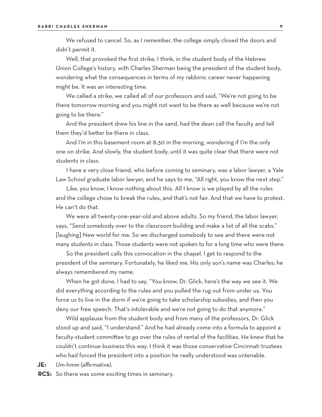We refused to cancel. So, as I remember, the college simply closed the doors and didn't permit it.

Well, that provoked the first strike, I think, in the student body of the Hebrew Union College's history, with Charles Sherman being the president of the student body, wondering what the consequences in terms of my rabbinic career never happening might be. It was an interesting time.

We called a strike, we called all of our professors and said, "We're not going to be there tomorrow morning and you might not want to be there as well because we're not going to be there."

And the president drew his line in the sand, had the dean call the faculty and tell them they'd better be there in class.

And I'm in this basement room at 8:30 in the morning, wondering if I'm the only one on strike. And slowly, the student body, until it was quite clear that there were not students in class.

I have a very close friend, who before coming to seminary, was a labor lawyer, a Yale Law School graduate labor lawyer, and he says to me, "All right, you know the next step."

Like, you know, I know nothing about this. All I know is we played by all the rules and the college chose to break the rules, and that's not fair. And that we have to protest. He can't do that.

We were all twenty-one-year-old and above adults. So my friend, the labor lawyer, says, "Send somebody over to the classroom building and make a list of all the scabs." [laughing] New world for me. So we discharged somebody to see and there were not many students in class. Those students were not spoken to for a long time who were there.

So the president calls this convocation in the chapel. I get to respond to the president of the seminary. Fortunately, he liked me. His only son's name was Charles; he always remembered my name.

When he got done, I had to say, "You know, Dr. Glick, here's the way we see it. We did everything according to the rules and you pulled the rug out from under us. You force us to live in the dorm if we're going to take scholarship subsidies, and then you deny our free speech. That's intolerable and we're not going to do that anymore."

Wild applause from the student body and from many of the professors. Dr. Glick stood up and said, "I understand." And he had already come into a formula to appoint a faculty-student committee to go over the rules of rental of the facilities. He knew that he couldn't continue business this way. I think it was those conservative Cincinnati trustees who had forced the president into a position he really understood was untenable.

**JE:** Um-hmm (affirmative).

**RCS:** So there was some exciting times in seminary.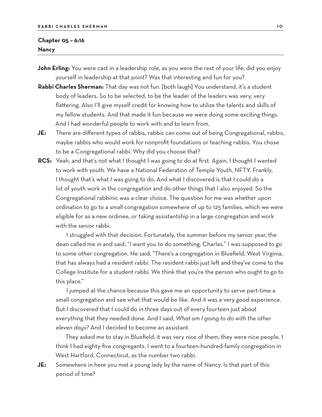## **Chapter 05 – 6:16 Nancy**

- **John Erling:** You were cast in a leadership role, as you were the rest of your life, did you enjoy yourself in leadership at that point? Was that interesting and fun for you?
- **Rabbi Charles Sherman:** That day was not fun. [both laugh] You understand, it's a student body of leaders. So to be selected, to be the leader of the leaders was very, very flattering. Also I'll give myself credit for knowing how to utilize the talents and skills of my fellow students. And that made it fun because we were doing some exciting things. And I had wonderful people to work with and to learn from.
- **JE:** There are different types of rabbis, rabbis can come out of being Congregational, rabbis, maybe rabbis who would work for nonprofit foundations or teaching rabbis. You chose to be a Congregational rabbi. Why did you choose that?
- **RCS:** Yeah, and that's not what I thought I was going to do at first. Again, I thought I wanted to work with youth. We have a National Federation of Temple Youth, NFTY. Frankly, I thought that's what I was going to do. And what I discovered is that I could do a lot of youth work in the congregation and do other things that I also enjoyed. So the Congregational rabbinic was a clear choice. The question for me was whether upon ordination to go to a small congregation somewhere of up to 125 families, which we were eligible for as a new ordinee, or taking assistantship in a large congregation and work with the senior rabbi.

I struggled with that decision. Fortunately, the summer before my senior year, the dean called me in and said, "I want you to do something, Charles." I was supposed to go to some other congregation. He said, "There's a congregation in Bluefield, West Virginia, that has always had a resident rabbi. The resident rabbi just left and they've come to the College Institute for a student rabbi. We think that you're the person who ought to go to this place."

I jumped at the chance because this gave me an opportunity to serve part-time a small congregation and see what that would be like. And it was a very good experience. But I discovered that I could do in three days out of every fourteen just about everything that they needed done. And I said, *What am I going to do with the other eleven days?* And I decided to become an assistant.

They asked me to stay in Bluefield; it was very nice of them, they were nice people. I think I had eighty-five congregants. I went to a fourteen-hundred-family congregation in West Hartford, Connecticut, as the number two rabbi.

**JE:** Somewhere in here you met a young lady by the name of Nancy. Is that part of this period of time?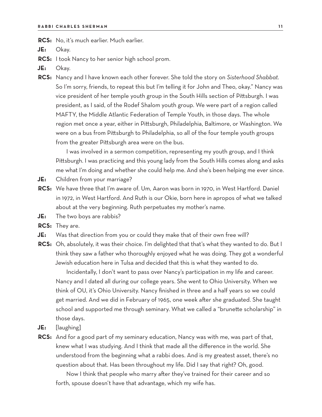**RCS:** No, it's much earlier. Much earlier.

**JE:** Okay.

- **RCS:** I took Nancy to her senior high school prom.
- **JE:** Okay.
- **RCS:** Nancy and I have known each other forever. She told the story on *Sisterhood Shabbat.* So I'm sorry, friends, to repeat this but I'm telling it for John and Theo, okay." Nancy was vice president of her temple youth group in the South Hills section of Pittsburgh. I was president, as I said, of the Rodef Shalom youth group. We were part of a region called MAFTY, the Middle Atlantic Federation of Temple Youth, in those days. The whole region met once a year, either in Pittsburgh, Philadelphia, Baltimore, or Washington. We were on a bus from Pittsburgh to Philadelphia, so all of the four temple youth groups from the greater Pittsburgh area were on the bus.

I was involved in a sermon competition, representing my youth group, and I think Pittsburgh. I was practicing and this young lady from the South Hills comes along and asks me what I'm doing and whether she could help me. And she's been helping me ever since.

- **JE:** Children from your marriage?
- **RCS:** We have three that I'm aware of. Um, Aaron was born in 1970, in West Hartford. Daniel in 1972, in West Hartford. And Ruth is our Okie, born here in apropos of what we talked about at the very beginning. Ruth perpetuates my mother's name.
- **JE:** The two boys are rabbis?

**RCS:** They are.

- **JE:** Was that direction from you or could they make that of their own free will?
- **RCS:** Oh, absolutely, it was their choice. I'm delighted that that's what they wanted to do. But I think they saw a father who thoroughly enjoyed what he was doing. They got a wonderful Jewish education here in Tulsa and decided that this is what they wanted to do.

Incidentally, I don't want to pass over Nancy's participation in my life and career. Nancy and I dated all during our college years. She went to Ohio University. When we think of OU, it's Ohio University. Nancy finished in three and a half years so we could get married. And we did in February of 1965, one week after she graduated. She taught school and supported me through seminary. What we called a "brunette scholarship" in those days.

- **JE:** [laughing]
- **RCS:** And for a good part of my seminary education, Nancy was with me, was part of that, knew what I was studying. And I think that made all the difference in the world. She understood from the beginning what a rabbi does. And is my greatest asset, there's no question about that. Has been throughout my life. Did I say that right? Oh, good.

Now I think that people who marry after they've trained for their career and so forth, spouse doesn't have that advantage, which my wife has.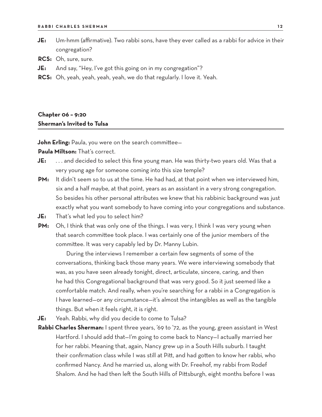- **JE:** Um-hmm (affirmative). Two rabbi sons, have they ever called as a rabbi for advice in their congregation?
- **RCS:** Oh, sure, sure.
- **JE:** And say, "Hey, I've got this going on in my congregation"?
- **RCS:** Oh, yeah, yeah, yeah, yeah, we do that regularly. I love it. Yeah.

## **Chapter 06 – 9:20 Sherman's Invited to Tulsa**

**John Erling:** Paula, you were on the search committee-

**Paula Miltson:** That's correct.

**JE:** . . . and decided to select this fine young man. He was thirty-two years old. Was that a very young age for someone coming into this size temple?

- PM: It didn't seem so to us at the time. He had had, at that point when we interviewed him, six and a half maybe, at that point, years as an assistant in a very strong congregation. So besides his other personal attributes we knew that his rabbinic background was just exactly what you want somebody to have coming into your congregations and substance.
- **JE:** That's what led you to select him?
- **PM:** Oh, I think that was only one of the things. I was very, I think I was very young when that search committee took place. I was certainly one of the junior members of the committee. It was very capably led by Dr. Manny Lubin.

During the interviews I remember a certain few segments of some of the conversations, thinking back those many years. We were interviewing somebody that was, as you have seen already tonight, direct, articulate, sincere, caring, and then he had this Congregational background that was very good. So it just seemed like a comfortable match. And really, when you're searching for a rabbi in a Congregation is I have learned—or any circumstance—it's almost the intangibles as well as the tangible things. But when it feels right, it is right.

- **JE:** Yeah. Rabbi, why did you decide to come to Tulsa?
- **Rabbi Charles Sherman:** I spent three years, '69 to '72, as the young, green assistant in West Hartford. I should add that—I'm going to come back to Nancy—I actually married her for her rabbi. Meaning that, again, Nancy grew up in a South Hills suburb. I taught their confirmation class while I was still at Pitt, and had gotten to know her rabbi, who confirmed Nancy. And he married us, along with Dr. Freehof, my rabbi from Rodef Shalom. And he had then left the South Hills of Pittsburgh, eight months before I was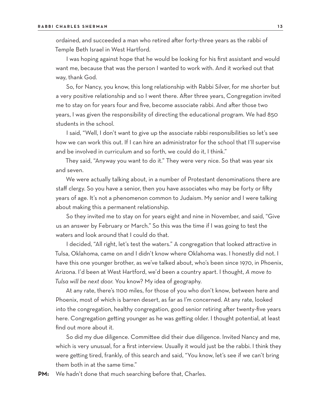ordained, and succeeded a man who retired after forty-three years as the rabbi of Temple Beth Israel in West Hartford.

I was hoping against hope that he would be looking for his first assistant and would want me, because that was the person I wanted to work with. And it worked out that way, thank God.

So, for Nancy, you know, this long relationship with Rabbi Silver, for me shorter but a very positive relationship and so I went there. After three years, Congregation invited me to stay on for years four and five, become associate rabbi. And after those two years, I was given the responsibility of directing the educational program. We had 850 students in the school.

I said, "Well, I don't want to give up the associate rabbi responsibilities so let's see how we can work this out. If I can hire an administrator for the school that I'll supervise and be involved in curriculum and so forth, we could do it, I think."

They said, "Anyway you want to do it." They were very nice. So that was year six and seven.

We were actually talking about, in a number of Protestant denominations there are staff clergy. So you have a senior, then you have associates who may be forty or fifty years of age. It's not a phenomenon common to Judaism. My senior and I were talking about making this a permanent relationship.

So they invited me to stay on for years eight and nine in November, and said, "Give us an answer by February or March." So this was the time if I was going to test the waters and look around that I could do that.

I decided, "All right, let's test the waters." A congregation that looked attractive in Tulsa, Oklahoma, came on and I didn't know where Oklahoma was. I honestly did not. I have this one younger brother, as we've talked about, who's been since 1970, in Phoenix, Arizona. I'd been at West Hartford, we'd been a country apart. I thought, *A move to Tulsa will be next door.* You know? My idea of geography.

At any rate, there's 1100 miles, for those of you who don't know, between here and Phoenix, most of which is barren desert, as far as I'm concerned. At any rate, looked into the congregation, healthy congregation, good senior retiring after twenty-five years here. Congregation getting younger as he was getting older. I thought potential, at least find out more about it.

So did my due diligence. Committee did their due diligence. Invited Nancy and me, which is very unusual, for a first interview. Usually it would just be the rabbi. I think they were getting tired, frankly, of this search and said, "You know, let's see if we can't bring them both in at the same time."

**PM:** We hadn't done that much searching before that, Charles.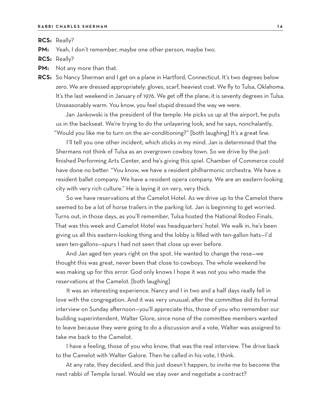**RCS:** Really?

**PM:** Yeah, I don't remember, maybe one other person, maybe two.

**RCS:** Really?

**PM:** Not any more than that.

**RCS:** So Nancy Sherman and I get on a plane in Hartford, Connecticut. It's two degrees below zero. We are dressed appropriately: gloves, scarf, heaviest coat. We fly to Tulsa, Oklahoma. It's the last weekend in January of 1976. We get off the plane, it is seventy degrees in Tulsa. Unseasonably warm. You know, you feel stupid dressed the way we were.

Jan Jankowski is the president of the temple. He picks us up at the airport, he puts us in the backseat. We're trying to do the unlayering look, and he says, nonchalantly, "Would you like me to turn on the air-conditioning?" [both laughing] It's a great line.

I'll tell you one other incident, which sticks in my mind. Jan is determined that the Shermans not think of Tulsa as an overgrown cowboy town. So we drive by the justfinished Performing Arts Center, and he's giving this spiel. Chamber of Commerce could have done no better. "You know, we have a resident philharmonic orchestra. We have a resident ballet company. We have a resident opera company. We are an eastern-looking city with very rich culture." He is laying it on very, very thick.

So we have reservations at the Camelot Hotel. As we drive up to the Camelot there seemed to be a lot of horse trailers in the parking lot. Jan is beginning to get worried. Turns out, in those days, as you'll remember, Tulsa hosted the National Rodeo Finals. That was this week and Camelot Hotel was headquarters' hotel. We walk in, he's been giving us all this eastern-looking thing and the lobby is filled with ten-gallon hats—I'd seen ten-gallons—spurs I had not seen that close up ever before.

And Jan aged ten years right on the spot. He wanted to change the rese—we thought this was great, never been that close to cowboys. The whole weekend he was making up for this error. God only knows I hope it was not you who made the reservations at the Camelot. [both laughing]

It was an interesting experience. Nancy and I in two and a half days really fell in love with the congregation. And it was very unusual; after the committee did its formal interview on Sunday afternoon—you'll appreciate this, those of you who remember our building superintendent, Walter Glore, since none of the committee members wanted to leave because they were going to do a discussion and a vote, Walter was assigned to take me back to the Camelot.

I have a feeling, those of you who know, that was the real interview. The drive back to the Camelot with Walter Galore. Then he called in his vote, I think.

At any rate, they decided, and this just doesn't happen, to invite me to become the next rabbi of Temple Israel. Would we stay over and negotiate a contract?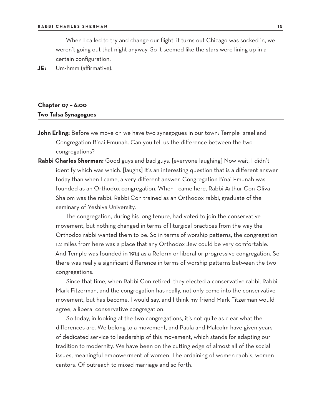When I called to try and change our flight, it turns out Chicago was socked in, we weren't going out that night anyway. So it seemed like the stars were lining up in a certain configuration.

**JE:** Um-hmm (affirmative).

# **Chapter 07 – 6:00 Two Tulsa Synagogues**

- **John Erling:** Before we move on we have two synagogues in our town: Temple Israel and Congregation B'nai Emunah. Can you tell us the difference between the two congregations?
- **Rabbi Charles Sherman:** Good guys and bad guys. [everyone laughing] Now wait, I didn't identify which was which. [laughs] It's an interesting question that is a different answer today than when I came, a very different answer. Congregation B'nai Emunah was founded as an Orthodox congregation. When I came here, Rabbi Arthur Con Oliva Shalom was the rabbi. Rabbi Con trained as an Orthodox rabbi, graduate of the seminary of Yeshiva University.

The congregation, during his long tenure, had voted to join the conservative movement, but nothing changed in terms of liturgical practices from the way the Orthodox rabbi wanted them to be. So in terms of worship patterns, the congregation 1.2 miles from here was a place that any Orthodox Jew could be very comfortable. And Temple was founded in 1914 as a Reform or liberal or progressive congregation. So there was really a significant difference in terms of worship patterns between the two congregations.

Since that time, when Rabbi Con retired, they elected a conservative rabbi, Rabbi Mark Fitzerman, and the congregation has really, not only come into the conservative movement, but has become, I would say, and I think my friend Mark Fitzerman would agree, a liberal conservative congregation.

So today, in looking at the two congregations, it's not quite as clear what the differences are. We belong to a movement, and Paula and Malcolm have given years of dedicated service to leadership of this movement, which stands for adapting our tradition to modernity. We have been on the cutting edge of almost all of the social issues, meaningful empowerment of women. The ordaining of women rabbis, women cantors. Of outreach to mixed marriage and so forth.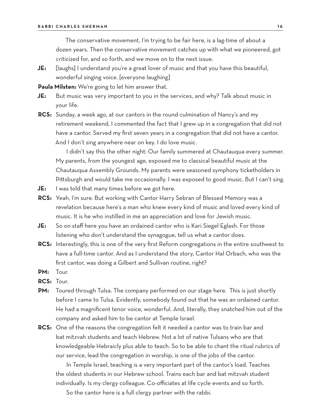The conservative movement, I'm trying to be fair here, is a lag-time of about a dozen years. Then the conservative movement catches up with what we pioneered, got criticized for, and so forth, and we move on to the next issue.

**JE:** [laughs] I understand you're a great lover of music and that you have this beautiful, wonderful singing voice. [everyone laughing]

**Paula Milsten:** We're going to let him answer that.

- **JE:** But music was very important to you in the services, and why? Talk about music in your life.
- **RCS:** Sunday, a week ago, at our cantors in the round culmination of Nancy's and my retirement weekend, I commented the fact that I grew up in a congregation that did not have a cantor. Served my first seven years in a congregation that did not have a cantor. And I don't sing anywhere near on key. I do love music.

I didn't say this the other night: Our family summered at Chautauqua every summer. My parents, from the youngest age, exposed me to classical beautiful music at the Chautauqua Assembly Grounds. My parents were seasoned symphony ticketholders in Pittsburgh and would take me occasionally. I was exposed to good music. But I can't sing.

- **JE:** I was told that many times before we got here.
- **RCS:** Yeah, I'm sure. But working with Cantor Harry Sebran of Blessed Memory was a revelation because here's a man who knew every kind of music and loved every kind of music. It is he who instilled in me an appreciation and love for Jewish music.
- **JE:** So on staff here you have an ordained cantor who is Kari Siegel Eglash. For those listening who don't understand the synagogue, tell us what a cantor does.
- **RCS:** Interestingly, this is one of the very first Reform congregations in the entire southwest to have a full-time cantor. And as I understand the story, Cantor Hal Orbach, who was the first cantor, was doing a Gilbert and Sullivan routine, right?
- **PM:** Tour.
- **RCS:** Tour.
- **PM:** Toured through Tulsa. The company performed on our stage here. This is just shortly before I came to Tulsa. Evidently, somebody found out that he was an ordained cantor. He had a magnificent tenor voice, wonderful. And, literally, they snatched him out of the company and asked him to be cantor at Temple Israel.
- **RCS:** One of the reasons the congregation felt it needed a cantor was to train bar and bat mitzvah students and teach Hebrew. Not a lot of native Tulsans who are that knowledgeable Hebraicly plus able to teach. So to be able to chant the ritual rubrics of our service, lead the congregation in worship, is one of the jobs of the cantor.

In Temple Israel, teaching is a very important part of the cantor's load. Teaches the oldest students in our Hebrew school. Trains each bar and bat mitzvah student individually. Is my clergy colleague. Co-officiates at life cycle events and so forth.

So the cantor here is a full clergy partner with the rabbi.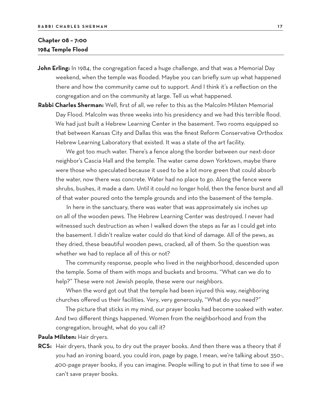# **Chapter 08 – 7:00 1984 Temple Flood**

**John Erling:** In 1984, the congregation faced a huge challenge, and that was a Memorial Day weekend, when the temple was flooded. Maybe you can briefly sum up what happened there and how the community came out to support. And I think it's a reflection on the congregation and on the community at large. Tell us what happened.

**Rabbi Charles Sherman:** Well, first of all, we refer to this as the Malcolm Milsten Memorial Day Flood. Malcolm was three weeks into his presidency and we had this terrible flood. We had just built a Hebrew Learning Center in the basement. Two rooms equipped so that between Kansas City and Dallas this was the finest Reform Conservative Orthodox Hebrew Learning Laboratory that existed. It was a state of the art facility.

We got too much water. There's a fence along the border between our next-door neighbor's Cascia Hall and the temple. The water came down Yorktown, maybe there were those who speculated because it used to be a lot more green that could absorb the water, now there was concrete. Water had no place to go. Along the fence were shrubs, bushes, it made a dam. Until it could no longer hold, then the fence burst and all of that water poured onto the temple grounds and into the basement of the temple.

In here in the sanctuary, there was water that was approximately six inches up on all of the wooden pews. The Hebrew Learning Center was destroyed. I never had witnessed such destruction as when I walked down the steps as far as I could get into the basement. I didn't realize water could do that kind of damage. All of the pews, as they dried, these beautiful wooden pews, cracked, all of them. So the question was whether we had to replace all of this or not?

The community response, people who lived in the neighborhood, descended upon the temple. Some of them with mops and buckets and brooms. "What can we do to help?" These were not Jewish people, these were our neighbors.

When the word got out that the temple had been injured this way, neighboring churches offered us their facilities. Very, very generously, "What do you need?"

The picture that sticks in my mind, our prayer books had become soaked with water. And two different things happened. Women from the neighborhood and from the congregation, brought, what do you call it?

**Paula Milsten:** Hair dryers.

**RCS:** Hair dryers, thank you, to dry out the prayer books. And then there was a theory that if you had an ironing board, you could iron, page by page, I mean, we're talking about 350-, 400-page prayer books, if you can imagine. People willing to put in that time to see if we can't save prayer books.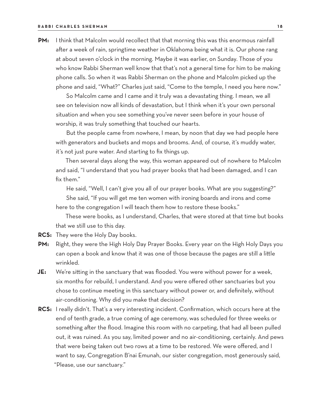**PM:** I think that Malcolm would recollect that that morning this was this enormous rainfall after a week of rain, springtime weather in Oklahoma being what it is. Our phone rang at about seven o'clock in the morning. Maybe it was earlier, on Sunday. Those of you who know Rabbi Sherman well know that that's not a general time for him to be making phone calls. So when it was Rabbi Sherman on the phone and Malcolm picked up the phone and said, "What?" Charles just said, "Come to the temple, I need you here now."

So Malcolm came and I came and it truly was a devastating thing. I mean, we all see on television now all kinds of devastation, but I think when it's your own personal situation and when you see something you've never seen before in your house of worship, it was truly something that touched our hearts.

But the people came from nowhere, I mean, by noon that day we had people here with generators and buckets and mops and brooms. And, of course, it's muddy water, it's not just pure water. And starting to fix things up.

Then several days along the way, this woman appeared out of nowhere to Malcolm and said, "I understand that you had prayer books that had been damaged, and I can fix them."

He said, "Well, I can't give you all of our prayer books. What are you suggesting?" She said, "If you will get me ten women with ironing boards and irons and come here to the congregation I will teach them how to restore these books."

These were books, as I understand, Charles, that were stored at that time but books that we still use to this day.

**RCS:** They were the Holy Day books.

- **PM:** Right, they were the High Holy Day Prayer Books. Every year on the High Holy Days you can open a book and know that it was one of those because the pages are still a little wrinkled.
- **JE:** We're sitting in the sanctuary that was flooded. You were without power for a week, six months for rebuild, I understand. And you were offered other sanctuaries but you chose to continue meeting in this sanctuary without power or, and definitely, without air-conditioning. Why did you make that decision?
- **RCS:** I really didn't. That's a very interesting incident. Confirmation, which occurs here at the end of tenth grade, a true coming of age ceremony, was scheduled for three weeks or something after the flood. Imagine this room with no carpeting, that had all been pulled out, it was ruined. As you say, limited power and no air-conditioning, certainly. And pews that were being taken out two rows at a time to be restored. We were offered, and I want to say, Congregation B'nai Emunah, our sister congregation, most generously said, "Please, use our sanctuary."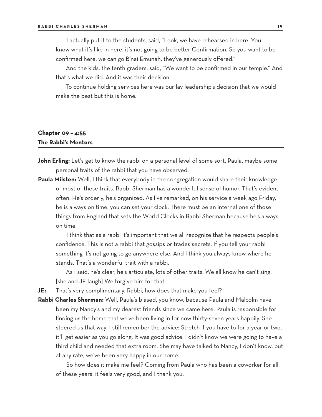I actually put it to the students, said, "Look, we have rehearsed in here. You know what it's like in here, it's not going to be better Confirmation. So you want to be confirmed here, we can go B'nai Emunah, they've generously offered."

And the kids, the tenth graders, said, "We want to be confirmed in our temple." And that's what we did. And it was their decision.

To continue holding services here was our lay leadership's decision that we would make the best but this is home.

# **Chapter 09 – 4:55 The Rabbi's Mentors**

- John Erling: Let's get to know the rabbi on a personal level of some sort. Paula, maybe some personal traits of the rabbi that you have observed.
- **Paula Milsten:** Well, I think that everybody in the congregation would share their knowledge of most of these traits. Rabbi Sherman has a wonderful sense of humor. That's evident often. He's orderly, he's organized. As I've remarked, on his service a week ago Friday, he is always on time, you can set your clock. There must be an internal one of those things from England that sets the World Clocks in Rabbi Sherman because he's always on time.

I think that as a rabbi it's important that we all recognize that he respects people's confidence. This is not a rabbi that gossips or trades secrets. If you tell your rabbi something it's not going to go anywhere else. And I think you always know where he stands. That's a wonderful trait with a rabbi.

As I said, he's clear, he's articulate, lots of other traits. We all know he can't sing. [she and JE laugh] We forgive him for that.

**JE:** That's very complimentary, Rabbi, how does that make you feel?

**Rabbi Charles Sherman:** Well, Paula's biased, you know, because Paula and Malcolm have been my Nancy's and my dearest friends since we came here. Paula is responsible for finding us the home that we've been living in for now thirty-seven years happily. She steered us that way. I still remember the advice: Stretch if you have to for a year or two, it'll get easier as you go along. It was good advice. I didn't know we were going to have a third child and needed that extra room. She may have talked to Nancy, I don't know, but at any rate, we've been very happy in our home.

So how does it make me feel? Coming from Paula who has been a coworker for all of these years, it feels very good, and I thank you.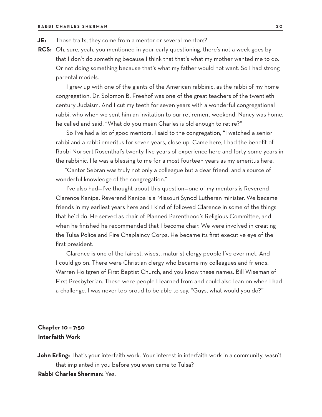- **JE:** Those traits, they come from a mentor or several mentors?
- **RCS:** Oh, sure, yeah, you mentioned in your early questioning, there's not a week goes by that I don't do something because I think that that's what my mother wanted me to do. Or not doing something because that's what my father would not want. So I had strong parental models.

I grew up with one of the giants of the American rabbinic, as the rabbi of my home congregation. Dr. Solomon B. Freehof was one of the great teachers of the twentieth century Judaism. And I cut my teeth for seven years with a wonderful congregational rabbi, who when we sent him an invitation to our retirement weekend, Nancy was home, he called and said, "What do you mean Charles is old enough to retire?"

So I've had a lot of good mentors. I said to the congregation, "I watched a senior rabbi and a rabbi emeritus for seven years, close up. Came here, I had the benefit of Rabbi Norbert Rosenthal's twenty-five years of experience here and forty-some years in the rabbinic. He was a blessing to me for almost fourteen years as my emeritus here.

"Cantor Sebran was truly not only a colleague but a dear friend, and a source of wonderful knowledge of the congregation."

I've also had—I've thought about this question—one of my mentors is Reverend Clarence Kanipa. Reverend Kanipa is a Missouri Synod Lutheran minister. We became friends in my earliest years here and I kind of followed Clarence in some of the things that he'd do. He served as chair of Planned Parenthood's Religious Committee, and when he finished he recommended that I become chair. We were involved in creating the Tulsa Police and Fire Chaplaincy Corps. He became its first executive eye of the first president.

Clarence is one of the fairest, wisest, maturist clergy people I've ever met. And I could go on. There were Christian clergy who became my colleagues and friends. Warren Holtgren of First Baptist Church, and you know these names. Bill Wiseman of First Presbyterian. These were people I learned from and could also lean on when I had a challenge. I was never too proud to be able to say, "Guys, what would you do?"

## **Chapter 10 – 7:50 Interfaith Work**

**John Erling:** That's your interfaith work. Your interest in interfaith work in a community, wasn't that implanted in you before you even came to Tulsa?

#### **Rabbi Charles Sherman:** Yes.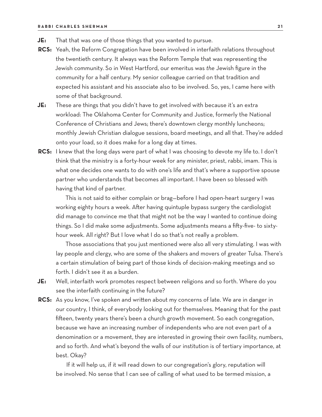- **JE:** That that was one of those things that you wanted to pursue.
- **RCS:** Yeah, the Reform Congregation have been involved in interfaith relations throughout the twentieth century. It always was the Reform Temple that was representing the Jewish community. So in West Hartford, our emeritus was *the* Jewish figure in the community for a half century. My senior colleague carried on that tradition and expected his assistant and his associate also to be involved. So, yes, I came here with some of that background.
- **JE:** These are things that you didn't have to get involved with because it's an extra workload: The Oklahoma Center for Community and Justice, formerly the National Conference of Christians and Jews; there's downtown clergy monthly luncheons; monthly Jewish Christian dialogue sessions, board meetings, and all that. They're added onto your load, so it does make for a long day at times.
- **RCS:** I knew that the long days were part of what I was choosing to devote my life to. I don't think that the ministry is a forty-hour week for any minister, priest, rabbi, imam. This is what one decides one wants to do with one's life and that's where a supportive spouse partner who understands that becomes all important. I have been so blessed with having that kind of partner.

This is not said to either complain or brag—before I had open-heart surgery I was working eighty hours a week. After having quintuple bypass surgery the cardiologist did manage to convince me that that might not be the way I wanted to continue doing things. So I did make some adjustments. Some adjustments means a fifty-five- to sixtyhour week. All right? But I love what I do so that's not really a problem.

Those associations that you just mentioned were also all very stimulating. I was with lay people and clergy, who are some of the shakers and movers of greater Tulsa. There's a certain stimulation of being part of those kinds of decision-making meetings and so forth. I didn't see it as a burden.

- **JE:** Well, interfaith work promotes respect between religions and so forth. Where do you see the interfaith continuing in the future?
- **RCS:** As you know, I've spoken and written about my concerns of late. We are in danger in our country, I think, of everybody looking out for themselves. Meaning that for the past fifteen, twenty years there's been a church growth movement. So each congregation, because we have an increasing number of independents who are not even part of a denomination or a movement, they are interested in growing their own facility, numbers, and so forth. And what's beyond the walls of our institution is of tertiary importance, at best. Okay?

If it will help us, if it will read down to our congregation's glory, reputation will be involved. No sense that I can see of calling of what used to be termed mission, a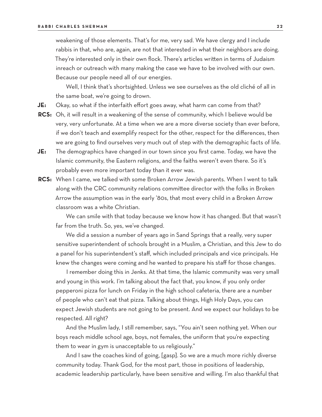weakening of those elements. That's for me, very sad. We have clergy and I include rabbis in that, who are, again, are not that interested in what their neighbors are doing. They're interested only in their own flock. There's articles written in terms of Judaism inreach or outreach with many making the case we have to be involved with our own. Because our people need all of our energies.

Well, I think that's shortsighted. Unless we see ourselves as the old cliché of all in the same boat, we're going to drown.

- **JE:** Okay, so what if the interfaith effort goes away, what harm can come from that?
- **RCS:** Oh, it will result in a weakening of the sense of community, which I believe would be very, very unfortunate. At a time when we are a more diverse society than ever before, if we don't teach and exemplify respect for the other, respect for the differences, then we are going to find ourselves very much out of step with the demographic facts of life.
- **JE:** The demographics have changed in our town since you first came. Today, we have the Islamic community, the Eastern religions, and the faiths weren't even there. So it's probably even more important today than it ever was.
- **RCS:** When I came, we talked with some Broken Arrow Jewish parents. When I went to talk along with the CRC community relations committee director with the folks in Broken Arrow the assumption was in the early '80s, that most every child in a Broken Arrow classroom was a white Christian.

We can smile with that today because we know how it has changed. But that wasn't far from the truth. So, yes, we've changed.

We did a session a number of years ago in Sand Springs that a really, very super sensitive superintendent of schools brought in a Muslim, a Christian, and this Jew to do a panel for his superintendent's staff, which included principals and vice principals. He knew the changes were coming and he wanted to prepare his staff for those changes.

I remember doing this in Jenks. At that time, the Islamic community was very small and young in this work. I'm talking about the fact that, you know, if you only order pepperoni pizza for lunch on Friday in the high school cafeteria, there are a number of people who can't eat that pizza. Talking about things, High Holy Days, you can expect Jewish students are not going to be present. And we expect our holidays to be respected. All right?

And the Muslim lady, I still remember, says, "You ain't seen nothing yet. When our boys reach middle school age, boys, not females, the uniform that you're expecting them to wear in gym is unacceptable to us religiously."

And I saw the coaches kind of going, [gasp]. So we are a much more richly diverse community today. Thank God, for the most part, those in positions of leadership, academic leadership particularly, have been sensitive and willing. I'm also thankful that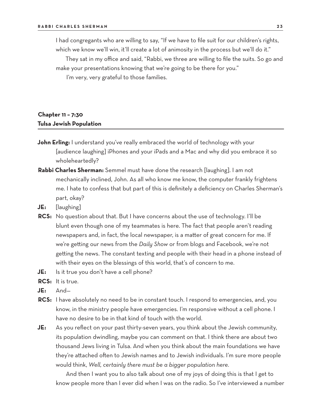I had congregants who are willing to say, "If we have to file suit for our children's rights, which we know we'll win, it'll create a lot of animosity in the process but we'll do it."

They sat in my office and said, "Rabbi, we three are willing to file the suits. So go and make your presentations knowing that we're going to be there for you."

I'm very, very grateful to those families.

# **Chapter 11 – 7:30 Tulsa Jewish Population**

- **John Erling:** I understand you've really embraced the world of technology with your [audience laughing] iPhones and your iPads and a Mac and why did you embrace it so wholeheartedly?
- **Rabbi Charles Sherman:** Semmel must have done the research [laughing]. I am not mechanically inclined, John. As all who know me know, the computer frankly frightens me. I hate to confess that but part of this is definitely a deficiency on Charles Sherman's part, okay?
- **JE:** [laughing]
- **RCS:** No question about that. But I have concerns about the use of technology. I'll be blunt even though one of my teammates is here. The fact that people aren't reading newspapers and, in fact, the local newspaper, is a matter of great concern for me. If we're getting our news from the *Daily Show* or from blogs and Facebook, we're not getting the news. The constant texting and people with their head in a phone instead of with their eyes on the blessings of this world, that's of concern to me.
- **JE:** Is it true you don't have a cell phone?
- **RCS:** It is true.
- **JE:** And—
- **RCS:** I have absolutely no need to be in constant touch. I respond to emergencies, and, you know, in the ministry people have emergencies. I'm responsive without a cell phone. I have no desire to be in that kind of touch with the world.
- **JE:** As you reflect on your past thirty-seven years, you think about the Jewish community, its population dwindling, maybe you can comment on that. I think there are about two thousand Jews living in Tulsa. And when you think about the main foundations we have they're attached often to Jewish names and to Jewish individuals. I'm sure more people would think, *Well, certainly there must be a bigger population here.*

And then I want you to also talk about one of my joys of doing this is that I get to know people more than I ever did when I was on the radio. So I've interviewed a number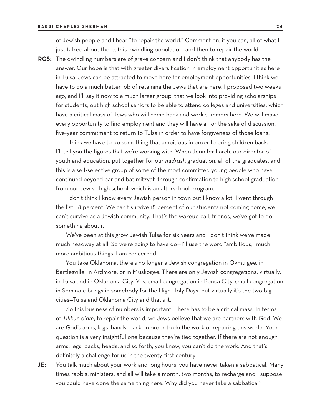of Jewish people and I hear "to repair the world." Comment on, if you can, all of what I just talked about there, this dwindling population, and then to repair the world.

**RCS:** The dwindling numbers are of grave concern and I don't think that anybody has the answer. Our hope is that with greater diversification in employment opportunities here in Tulsa, Jews can be attracted to move here for employment opportunities. I think we have to do a much better job of retaining the Jews that are here. I proposed two weeks ago, and I'll say it now to a much larger group, that we look into providing scholarships for students, out high school seniors to be able to attend colleges and universities, which have a critical mass of Jews who will come back and work summers here. We will make every opportunity to find employment and they will have a, for the sake of discussion, five-year commitment to return to Tulsa in order to have forgiveness of those loans.

I think we have to do something that ambitious in order to bring children back. I'll tell you the figures that we're working with. When Jennifer Larch, our director of youth and education, put together for our *midrash* graduation, all of the graduates, and this is a self-selective group of some of the most committed young people who have continued beyond bar and bat mitzvah through confirmation to high school graduation from our Jewish high school, which is an afterschool program.

I don't think I know every Jewish person in town but I know a lot. I went through the list, 18 percent. We can't survive 18 percent of our students not coming home, we can't survive as a Jewish community. That's the wakeup call, friends, we've got to do something about it.

We've been at this grow Jewish Tulsa for six years and I don't think we've made much headway at all. So we're going to have do—I'll use the word "ambitious," much more ambitious things. I am concerned.

You take Oklahoma, there's no longer a Jewish congregation in Okmulgee, in Bartlesville, in Ardmore, or in Muskogee. There are only Jewish congregations, virtually, in Tulsa and in Oklahoma City. Yes, small congregation in Ponca City, small congregation in Seminole brings in somebody for the High Holy Days, but virtually it's the two big cities—Tulsa and Oklahoma City and that's it.

So this business of numbers is important. There has to be a critical mass. In terms of *Tikkun olam*, to repair the world, we Jews believe that we are partners with God. We are God's arms, legs, hands, back, in order to do the work of repairing this world. Your question is a very insightful one because they're tied together. If there are not enough arms, legs, backs, heads, and so forth, you know, you can't do the work. And that's definitely a challenge for us in the twenty-first century.

**JE:** You talk much about your work and long hours, you have never taken a sabbatical. Many times rabbis, ministers, and all will take a month, two months, to recharge and I suppose you could have done the same thing here. Why did you never take a sabbatical?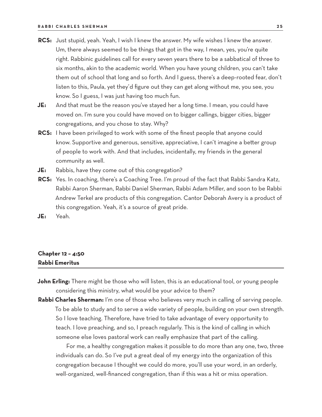- **RCS:** Just stupid, yeah. Yeah, I wish I knew the answer. My wife wishes I knew the answer. Um, there always seemed to be things that got in the way, I mean, yes, you're quite right. Rabbinic guidelines call for every seven years there to be a sabbatical of three to six months, akin to the academic world. When you have young children, you can't take them out of school that long and so forth. And I guess, there's a deep-rooted fear, don't listen to this, Paula, yet they'd figure out they can get along without me, you see, you know. So I guess, I was just having too much fun.
- **JE:** And that must be the reason you've stayed her a long time. I mean, you could have moved on. I'm sure you could have moved on to bigger callings, bigger cities, bigger congregations, and you chose to stay. Why?
- **RCS:** I have been privileged to work with some of the finest people that anyone could know. Supportive and generous, sensitive, appreciative, I can't imagine a better group of people to work with. And that includes, incidentally, my friends in the general community as well.
- **JE:** Rabbis, have they come out of this congregation?
- **RCS:** Yes. In coaching, there's a Coaching Tree. I'm proud of the fact that Rabbi Sandra Katz, Rabbi Aaron Sherman, Rabbi Daniel Sherman, Rabbi Adam Miller, and soon to be Rabbi Andrew Terkel are products of this congregation. Cantor Deborah Avery is a product of this congregation. Yeah, it's a source of great pride.
- **JE:** Yeah.

# **Chapter 12 – 4:50 Rabbi Emeritus**

- **John Erling:** There might be those who will listen, this is an educational tool, or young people considering this ministry, what would be your advice to them?
- Rabbi Charles Sherman: I'm one of those who believes very much in calling of serving people. To be able to study and to serve a wide variety of people, building on your own strength. So I love teaching. Therefore, have tried to take advantage of every opportunity to teach. I love preaching, and so, I preach regularly. This is the kind of calling in which someone else loves pastoral work can really emphasize that part of the calling.

For me, a healthy congregation makes it possible to do more than any one, two, three individuals can do. So I've put a great deal of my energy into the organization of this congregation because I thought we could do more, you'll use your word, in an orderly, well-organized, well-financed congregation, than if this was a hit or miss operation.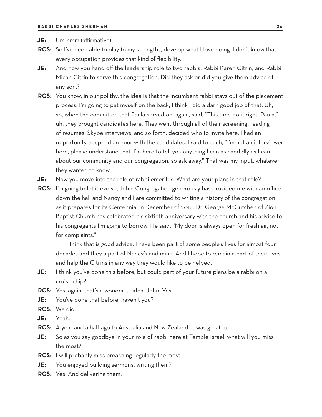**JE:** Um-hmm (affirmative).

- **RCS:** So I've been able to play to my strengths, develop what I love doing. I don't know that every occupation provides that kind of flexibility.
- **JE:** And now you hand off the leadership role to two rabbis, Rabbi Karen Citrin, and Rabbi Micah Citrin to serve this congregation. Did they ask or did you give them advice of any sort?
- **RCS:** You know, in our polithy, the idea is that the incumbent rabbi stays out of the placement process. I'm going to pat myself on the back, I think I did a darn good job of that. Uh, so, when the committee that Paula served on, again, said, "This time do it right, Paula," uh, they brought candidates here. They went through all of their screening, reading of resumes, Skype interviews, and so forth, decided who to invite here. I had an opportunity to spend an hour with the candidates. I said to each, "I'm not an interviewer here, please understand that. I'm here to tell you anything I can as candidly as I can about our community and our congregation, so ask away." That was my input, whatever they wanted to know.
- **JE:** Now you move into the role of rabbi emeritus. What are your plans in that role?
- **RCS:** I'm going to let it evolve, John. Congregation generously has provided me with an office down the hall and Nancy and I are committed to writing a history of the congregation as it prepares for its Centennial in December of 2014. Dr. George McCutchen of Zion Baptist Church has celebrated his sixtieth anniversary with the church and his advice to his congregants I'm going to borrow. He said, "My door is always open for fresh air, not for complaints."

I think that is good advice. I have been part of some people's lives for almost four decades and they a part of Nancy's and mine. And I hope to remain a part of their lives and help the Citrins in any way they would like to be helped.

- **JE:** I think you've done this before, but could part of your future plans be a rabbi on a cruise ship?
- **RCS:** Yes, again, that's a wonderful idea, John. Yes.
- **JE:** You've done that before, haven't you?
- **RCS:** We did.
- **JE:** Yeah.
- **RCS:** A year and a half ago to Australia and New Zealand, it was great fun.
- **JE:** So as you say goodbye in your role of rabbi here at Temple Israel, what will you miss the most?
- **RCS:** I will probably miss preaching regularly the most.
- **JE:** You enjoyed building sermons, writing them?
- **RCS:** Yes. And delivering them.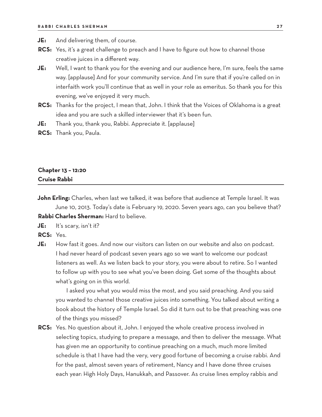- **JE:** And delivering them, of course.
- **RCS:** Yes, it's a great challenge to preach and I have to figure out how to channel those creative juices in a different way.
- **JE:** Well, I want to thank you for the evening and our audience here, I'm sure, feels the same way. [applause] And for your community service. And I'm sure that if you're called on in interfaith work you'll continue that as well in your role as emeritus. So thank you for this evening, we've enjoyed it very much.
- **RCS:** Thanks for the project, I mean that, John. I think that the Voices of Oklahoma is a great idea and you are such a skilled interviewer that it's been fun.
- **JE:** Thank you, thank you, Rabbi. Appreciate it. [applause]
- **RCS:** Thank you, Paula.

## **Chapter 13 – 12:20 Cruise Rabbi**

- **John Erling:** Charles, when last we talked, it was before that audience at Temple Israel. It was June 10, 2013. Today's date is February 19, 2020. Seven years ago, can you believe that? **Rabbi Charles Sherman:** Hard to believe.
- **JE:** It's scary, isn't it?
- **RCS:** Yes.
- **JE:** How fast it goes. And now our visitors can listen on our website and also on podcast. I had never heard of podcast seven years ago so we want to welcome our podcast listeners as well. As we listen back to your story, you were about to retire. So I wanted to follow up with you to see what you've been doing. Get some of the thoughts about what's going on in this world.

I asked you what you would miss the most, and you said preaching. And you said you wanted to channel those creative juices into something. You talked about writing a book about the history of Temple Israel. So did it turn out to be that preaching was one of the things you missed?

**RCS:** Yes. No question about it, John. I enjoyed the whole creative process involved in selecting topics, studying to prepare a message, and then to deliver the message. What has given me an opportunity to continue preaching on a much, much more limited schedule is that I have had the very, very good fortune of becoming a cruise rabbi. And for the past, almost seven years of retirement, Nancy and I have done three cruises each year: High Holy Days, Hanukkah, and Passover. As cruise lines employ rabbis and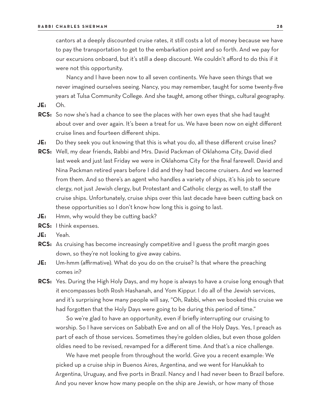cantors at a deeply discounted cruise rates, it still costs a lot of money because we have to pay the transportation to get to the embarkation point and so forth. And we pay for our excursions onboard, but it's still a deep discount. We couldn't afford to do this if it were not this opportunity.

Nancy and I have been now to all seven continents. We have seen things that we never imagined ourselves seeing. Nancy, you may remember, taught for some twenty-five years at Tulsa Community College. And she taught, among other things, cultural geography.

- **JE:** Oh.
- **RCS:** So now she's had a chance to see the places with her own eyes that she had taught about over and over again. It's been a treat for us. We have been now on eight different cruise lines and fourteen different ships.
- **JE:** Do they seek you out knowing that this is what you do, all these different cruise lines?
- **RCS:** Well, my dear friends, Rabbi and Mrs. David Packman of Oklahoma City, David died last week and just last Friday we were in Oklahoma City for the final farewell. David and Nina Packman retired years before I did and they had become cruisers. And we learned from them. And so there's an agent who handles a variety of ships, it's his job to secure clergy, not just Jewish clergy, but Protestant and Catholic clergy as well, to staff the cruise ships. Unfortunately, cruise ships over this last decade have been cutting back on these opportunities so I don't know how long this is going to last.
- **JE:** Hmm, why would they be cutting back?
- **RCS:** I think expenses.
- **JE:** Yeah.
- **RCS:** As cruising has become increasingly competitive and I guess the profit margin goes down, so they're not looking to give away cabins.
- **JE:** Um-hmm (affirmative). What do you do on the cruise? Is that where the preaching comes in?
- **RCS:** Yes. During the High Holy Days, and my hope is always to have a cruise long enough that it encompasses both Rosh Hashanah, and Yom Kippur. I do all of the Jewish services, and it's surprising how many people will say, "Oh, Rabbi, when we booked this cruise we had forgotten that the Holy Days were going to be during this period of time."

So we're glad to have an opportunity, even if briefly interrupting our cruising to worship. So I have services on Sabbath Eve and on all of the Holy Days. Yes, I preach as part of each of those services. Sometimes they're golden oldies, but even those golden oldies need to be revised, revamped for a different time. And that's a nice challenge.

We have met people from throughout the world. Give you a recent example: We picked up a cruise ship in Buenos Aires, Argentina, and we went for Hanukkah to Argentina, Uruguay, and five ports in Brazil. Nancy and I had never been to Brazil before. And you never know how many people on the ship are Jewish, or how many of those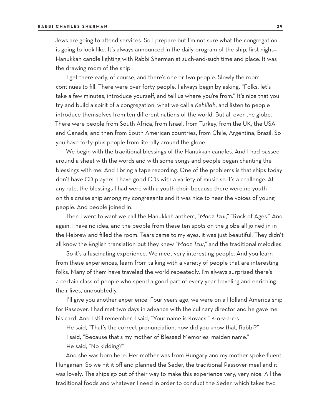Jews are going to attend services. So I prepare but I'm not sure what the congregation is going to look like. It's always announced in the daily program of the ship, first night— Hanukkah candle lighting with Rabbi Sherman at such-and-such time and place. It was the drawing room of the ship.

I get there early, of course, and there's one or two people. Slowly the room continues to fill. There were over forty people. I always begin by asking, "Folks, let's take a few minutes, introduce yourself, and tell us where you're from." It's nice that you try and build a spirit of a congregation, what we call a *Kehillah*, and listen to people introduce themselves from ten different nations of the world. But all over the globe. There were people from South Africa, from Israel, from Turkey, from the UK, the USA and Canada, and then from South American countries, from Chile, Argentina, Brazil. So you have forty-plus people from literally around the globe.

We begin with the traditional blessings of the Hanukkah candles. And I had passed around a sheet with the words and with some songs and people began chanting the blessings with me. And I bring a tape recording. One of the problems is that ships today don't have CD players. I have good CDs with a variety of music so it's a challenge. At any rate, the blessings I had were with a youth choir because there were no youth on this cruise ship among my congregants and it was nice to hear the voices of young people. And people joined in.

Then I went to want we call the Hanukkah anthem, "*Maoz Tzur*," "Rock of Ages." And again, I have no idea, and the people from these ten spots on the globe all joined in in the Hebrew and filled the room. Tears came to my eyes, it was just beautiful. They didn't all know the English translation but they knew "*Maoz Tzur*," and the traditional melodies.

So it's a fascinating experience. We meet very interesting people. And you learn from these experiences, learn from talking with a variety of people that are interesting folks. Many of them have traveled the world repeatedly. I'm always surprised there's a certain class of people who spend a good part of every year traveling and enriching their lives, undoubtedly.

I'll give you another experience. Four years ago, we were on a Holland America ship for Passover. I had met two days in advance with the culinary director and he gave me his card. And I still remember, I said, "Your name is Kovacs," K-o-v-a-c-s.

He said, "That's the correct pronunciation, how did you know that, Rabbi?" I said, "Because that's my mother of Blessed Memories' maiden name."

He said, "No kidding?"

And she was born here. Her mother was from Hungary and my mother spoke fluent Hungarian. So we hit it off and planned the Seder, the traditional Passover meal and it was lovely. The ships go out of their way to make this experience very, very nice. All the traditional foods and whatever I need in order to conduct the Seder, which takes two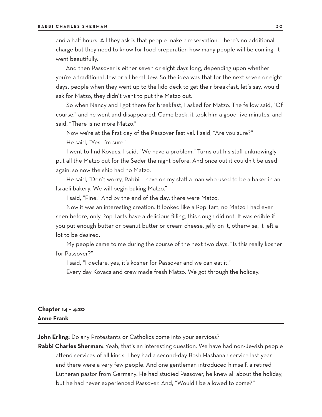and a half hours. All they ask is that people make a reservation. There's no additional charge but they need to know for food preparation how many people will be coming. It went beautifully.

And then Passover is either seven or eight days long, depending upon whether you're a traditional Jew or a liberal Jew. So the idea was that for the next seven or eight days, people when they went up to the lido deck to get their breakfast, let's say, would ask for Matzo, they didn't want to put the Matzo out.

So when Nancy and I got there for breakfast, I asked for Matzo. The fellow said, "Of course," and he went and disappeared. Came back, it took him a good five minutes, and said, "There is no more Matzo."

Now we're at the first day of the Passover festival. I said, "Are you sure?" He said, "Yes, I'm sure."

I went to find Kovacs. I said, "We have a problem." Turns out his staff unknowingly put all the Matzo out for the Seder the night before. And once out it couldn't be used again, so now the ship had no Matzo.

He said, "Don't worry, Rabbi, I have on my staff a man who used to be a baker in an Israeli bakery. We will begin baking Matzo."

I said, "Fine." And by the end of the day, there were Matzo.

Now it was an interesting creation. It looked like a Pop Tart, no Matzo I had ever seen before, only Pop Tarts have a delicious filling, this dough did not. It was edible if you put enough butter or peanut butter or cream cheese, jelly on it, otherwise, it left a lot to be desired.

My people came to me during the course of the next two days. "Is this really kosher for Passover?"

I said, "I declare, yes, it's kosher for Passover and we can eat it."

Every day Kovacs and crew made fresh Matzo. We got through the holiday.

## **Chapter 14 – 4:20 Anne Frank**

**John Erling:** Do any Protestants or Catholics come into your services?

**Rabbi Charles Sherman:** Yeah, that's an interesting question. We have had non-Jewish people attend services of all kinds. They had a second-day Rosh Hashanah service last year and there were a very few people. And one gentleman introduced himself, a retired Lutheran pastor from Germany. He had studied Passover, he knew all about the holiday, but he had never experienced Passover. And, "Would I be allowed to come?"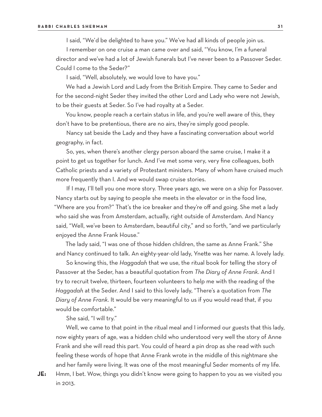I said, "We'd be delighted to have you." We've had all kinds of people join us.

I remember on one cruise a man came over and said, "You know, I'm a funeral director and we've had a lot of Jewish funerals but I've never been to a Passover Seder. Could I come to the Seder?"

I said, "Well, absolutely, we would love to have you."

We had a Jewish Lord and Lady from the British Empire. They came to Seder and for the second-night Seder they invited the other Lord and Lady who were not Jewish, to be their guests at Seder. So I've had royalty at a Seder.

You know, people reach a certain status in life, and you're well aware of this, they don't have to be pretentious, there are no airs, they're simply good people.

Nancy sat beside the Lady and they have a fascinating conversation about world geography, in fact.

So, yes, when there's another clergy person aboard the same cruise, I make it a point to get us together for lunch. And I've met some very, very fine colleagues, both Catholic priests and a variety of Protestant ministers. Many of whom have cruised much more frequently than I. And we would swap cruise stories.

If I may, I'll tell you one more story. Three years ago, we were on a ship for Passover. Nancy starts out by saying to people she meets in the elevator or in the food line, "Where are you from?" That's the ice breaker and they're off and going. She met a lady who said she was from Amsterdam, actually, right outside of Amsterdam. And Nancy said, "Well, we've been to Amsterdam, beautiful city," and so forth, "and we particularly enjoyed the Anne Frank House."

The lady said, "I was one of those hidden children, the same as Anne Frank." She and Nancy continued to talk. An eighty-year-old lady, Ynette was her name. A lovely lady.

So knowing this, the *Haggadah* that we use, the ritual book for telling the story of Passover at the Seder, has a beautiful quotation from *The Diary of Anne Frank*. And I try to recruit twelve, thirteen, fourteen volunteers to help me with the reading of the *Haggadah* at the Seder. And I said to this lovely lady, "There's a quotation from *The Diary of Anne Frank*. It would be very meaningful to us if you would read that, if you would be comfortable."

She said, "I will try."

Well, we came to that point in the ritual meal and I informed our guests that this lady, now eighty years of age, was a hidden child who understood very well the story of Anne Frank and she will read this part. You could of heard a pin drop as she read with such feeling these words of hope that Anne Frank wrote in the middle of this nightmare she and her family were living. It was one of the most meaningful Seder moments of my life.

**JE:** Hmm, I bet. Wow, things you didn't know were going to happen to you as we visited you

in 2013.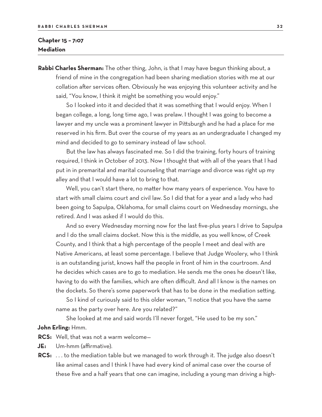## **Chapter 15 – 7:07 Mediation**

**Rabbi Charles Sherman:** The other thing, John, is that I may have begun thinking about, a friend of mine in the congregation had been sharing mediation stories with me at our collation after services often. Obviously he was enjoying this volunteer activity and he said, "You know, I think it might be something you would enjoy."

So I looked into it and decided that it was something that I would enjoy. When I began college, a long, long time ago, I was prelaw. I thought I was going to become a lawyer and my uncle was a prominent lawyer in Pittsburgh and he had a place for me reserved in his firm. But over the course of my years as an undergraduate I changed my mind and decided to go to seminary instead of law school.

But the law has always fascinated me. So I did the training, forty hours of training required, I think in October of 2013. Now I thought that with all of the years that I had put in in premarital and marital counseling that marriage and divorce was right up my alley and that I would have a lot to bring to that.

Well, you can't start there, no matter how many years of experience. You have to start with small claims court and civil law. So I did that for a year and a lady who had been going to Sapulpa, Oklahoma, for small claims court on Wednesday mornings, she retired. And I was asked if I would do this.

And so every Wednesday morning now for the last five-plus years I drive to Sapulpa and I do the small claims docket. Now this is the middle, as you well know, of Creek County, and I think that a high percentage of the people I meet and deal with are Native Americans, at least some percentage. I believe that Judge Woolery, who I think is an outstanding jurist, knows half the people in front of him in the courtroom. And he decides which cases are to go to mediation. He sends me the ones he doesn't like, having to do with the families, which are often difficult. And all I know is the names on the dockets. So there's some paperwork that has to be done in the mediation setting.

So I kind of curiously said to this older woman, "I notice that you have the same name as the party over here. Are you related?"

She looked at me and said words I'll never forget, "He used to be my son."

#### **John Erling:** Hmm.

- **RCS:** Well, that was not a warm welcome—
- **JE:** Um-hmm (affirmative).
- **RCS:** . . . to the mediation table but we managed to work through it. The judge also doesn't like animal cases and I think I have had every kind of animal case over the course of these five and a half years that one can imagine, including a young man driving a high-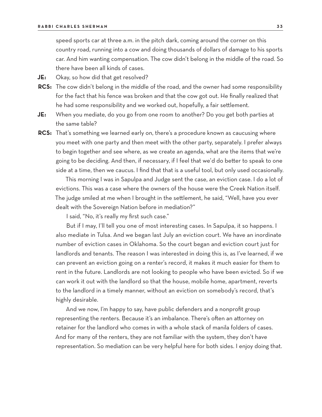speed sports car at three a.m. in the pitch dark, coming around the corner on this country road, running into a cow and doing thousands of dollars of damage to his sports car. And him wanting compensation. The cow didn't belong in the middle of the road. So there have been all kinds of cases.

**JE:** Okay, so how did that get resolved?

- **RCS:** The cow didn't belong in the middle of the road, and the owner had some responsibility for the fact that his fence was broken and that the cow got out. He finally realized that he had some responsibility and we worked out, hopefully, a fair settlement.
- **JE:** When you mediate, do you go from one room to another? Do you get both parties at the same table?
- **RCS:** That's something we learned early on, there's a procedure known as caucusing where you meet with one party and then meet with the other party, separately. I prefer always to begin together and see where, as we create an agenda, what are the items that we're going to be deciding. And then, if necessary, if I feel that we'd do better to speak to one side at a time, then we caucus. I find that that is a useful tool, but only used occasionally.

This morning I was in Sapulpa and Judge sent the case, an eviction case. I do a lot of evictions. This was a case where the owners of the house were the Creek Nation itself. The judge smiled at me when I brought in the settlement, he said, "Well, have you ever dealt with the Sovereign Nation before in mediation?"

I said, "No, it's really my first such case."

But if I may, I'll tell you one of most interesting cases. In Sapulpa, it so happens. I also mediate in Tulsa. And we began last July an eviction court. We have an inordinate number of eviction cases in Oklahoma. So the court began and eviction court just for landlords and tenants. The reason I was interested in doing this is, as I've learned, if we can prevent an eviction going on a renter's record, it makes it much easier for them to rent in the future. Landlords are not looking to people who have been evicted. So if we can work it out with the landlord so that the house, mobile home, apartment, reverts to the landlord in a timely manner, without an eviction on somebody's record, that's highly desirable.

And we now, I'm happy to say, have public defenders and a nonprofit group representing the renters. Because it's an imbalance. There's often an attorney on retainer for the landlord who comes in with a whole stack of manila folders of cases. And for many of the renters, they are not familiar with the system, they don't have representation. So mediation can be very helpful here for both sides. I enjoy doing that.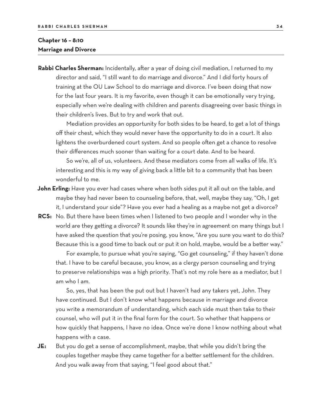## **Chapter 16 – 8:10 Marriage and Divorce**

**Rabbi Charles Sherman:** Incidentally, after a year of doing civil mediation, I returned to my director and said, "I still want to do marriage and divorce." And I did forty hours of training at the OU Law School to do marriage and divorce. I've been doing that now for the last four years. It is my favorite, even though it can be emotionally very trying, especially when we're dealing with children and parents disagreeing over basic things in their children's lives. But to try and work that out.

Mediation provides an opportunity for both sides to be heard, to get a lot of things off their chest, which they would never have the opportunity to do in a court. It also lightens the overburdened court system. And so people often get a chance to resolve their differences much sooner than waiting for a court date. And to be heard.

So we're, all of us, volunteers. And these mediators come from all walks of life. It's interesting and this is my way of giving back a little bit to a community that has been wonderful to me.

- **John Erling:** Have you ever had cases where when both sides put it all out on the table, and maybe they had never been to counseling before, that, well, maybe they say, "Oh, I get it, I understand your side"? Have you ever had a healing as a maybe not get a divorce?
- **RCS:** No. But there have been times when I listened to two people and I wonder why in the world are they getting a divorce? It sounds like they're in agreement on many things but I have asked the question that you're posing, you know, "Are you sure you want to do this? Because this is a good time to back out or put it on hold, maybe, would be a better way."

For example, to pursue what you're saying, "Go get counseling," if they haven't done that. I have to be careful because, you know, as a clergy person counseling and trying to preserve relationships was a high priority. That's not my role here as a mediator, but I am who I am.

So, yes, that has been the put out but I haven't had any takers yet, John. They have continued. But I don't know what happens because in marriage and divorce you write a memorandum of understanding, which each side must then take to their counsel, who will put it in the final form for the court. So whether that happens or how quickly that happens, I have no idea. Once we're done I know nothing about what happens with a case.

**JE:** But you do get a sense of accomplishment, maybe, that while you didn't bring the couples together maybe they came together for a better settlement for the children. And you walk away from that saying, "I feel good about that."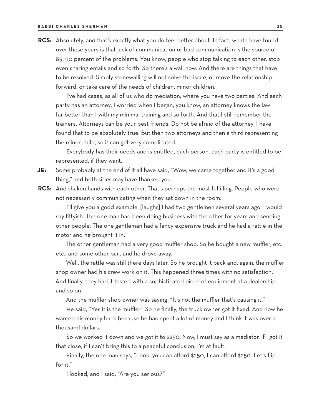**RCS:** Absolutely, and that's exactly what you do feel better about. In fact, what I have found over these years is that lack of communication or bad communication is the source of 85, 90 percent of the problems. You know, people who stop talking to each other, stop even sharing emails and so forth. So there's a wall now. And there are things that have to be resolved. Simply stonewalling will not solve the issue, or move the relationship forward, or take care of the needs of children, minor children.

I've had cases, as all of us who do mediation, where you have two parties. And each party has an attorney. I worried when I began, you know, an attorney knows the law far better than I with my minimal training and so forth. And that I still remember the trainers. Attorneys can be your best friends. Do not be afraid of the attorney. I have found that to be absolutely true. But then two attorneys and then a third representing the minor child, so it can get very complicated.

Everybody has their needs and is entitled, each person, each party is entitled to be represented, if they want.

- **JE:** Some probably at the end of it all have said, "Wow, we came together and it's a good thing," and both sides may have thanked you.
- **RCS:** And shaken hands with each other. That's perhaps the most fulfilling. People who were not necessarily communicating when they sat down in the room.

I'll give you a good example. [laughs] I had two gentlemen several years ago, I would say fiftyish. The one man had been doing business with the other for years and sending other people. The one gentleman had a fancy expensive truck and he had a rattle in the motor and he brought it in.

The other gentleman had a very good muffler shop. So he bought a new muffler, etc., etc., and some other part and he drove away.

Well, the rattle was still there days later. So he brought it back and, again, the muffler shop owner had his crew work on it. This happened three times with no satisfaction. And finally, they had it tested with a sophisticated piece of equipment at a dealership and so on.

And the muffler shop owner was saying, "It's not the muffler that's causing it."

He said, "Yes it is the muffler." So he finally, the truck owner got it fixed. And now he wanted his money back because he had spent a lot of money and I think it was over a thousand dollars.

So we worked it down and we got it to \$250. Now, I must say as a mediator, if I got it that close, if I can't bring this to a peaceful conclusion, I'm at fault.

Finally, the one man says, "Look, you can afford \$250, I can afford \$250. Let's flip for it."

I looked, and I said, "Are you serious?"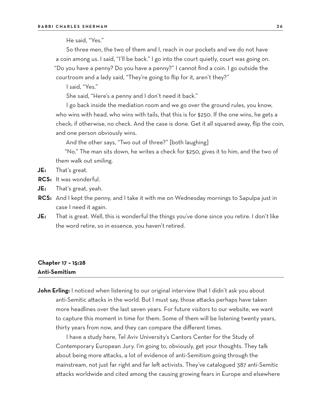He said, "Yes."

So three men, the two of them and I, reach in our pockets and we do not have a coin among us. I said, "I'll be back." I go into the court quietly, court was going on. "Do you have a penny? Do you have a penny?" I cannot find a coin. I go outside the courtroom and a lady said, "They're going to flip for it, aren't they?"

I said, "Yes."

She said, "Here's a penny and I don't need it back."

I go back inside the mediation room and we go over the ground rules, you know, who wins with head, who wins with tails, that this is for \$250. If the one wins, he gets a check; if otherwise, no check. And the case is done. Get it all squared away, flip the coin, and one person obviously wins.

And the other says, "Two out of three?" [both laughing]

"No." The man sits down, he writes a check for \$250, gives it to him, and the two of them walk out smiling.

- **JE:** That's great.
- **RCS:** It was wonderful.
- **JE:** That's great, yeah.
- **RCS:** And I kept the penny, and I take it with me on Wednesday mornings to Sapulpa just in case I need it again.
- **JE:** That is great. Well, this is wonderful the things you've done since you retire. I don't like the word retire, so in essence, you haven't retired.

## **Chapter 17 – 15:28 Anti-Semitism**

**John Erling:** I noticed when listening to our original interview that I didn't ask you about anti-Semitic attacks in the world. But I must say, those attacks perhaps have taken more headlines over the last seven years. For future visitors to our website, we want to capture this moment in time for them. Some of them will be listening twenty years, thirty years from now, and they can compare the different times.

I have a study here, Tel Aviv University's Cantors Center for the Study of Contemporary European Jury. I'm going to, obviously, get your thoughts. They talk about being more attacks, a lot of evidence of anti-Semitism going through the mainstream, not just far right and far left activists. They've catalogued 387 anti-Semitic attacks worldwide and cited among the causing growing fears in Europe and elsewhere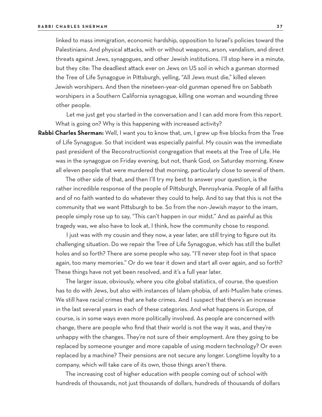linked to mass immigration, economic hardship, opposition to Israel's policies toward the Palestinians. And physical attacks, with or without weapons, arson, vandalism, and direct threats against Jews, synagogues, and other Jewish institutions. I'll stop here in a minute, but they cite: The deadliest attack ever on Jews on US soil in which a gunman stormed the Tree of Life Synagogue in Pittsburgh, yelling, "All Jews must die," killed eleven Jewish worshipers. And then the nineteen-year-old gunman opened fire on Sabbath worshipers in a Southern California synagogue, killing one woman and wounding three other people.

Let me just get you started in the conversation and I can add more from this report. What is going on? Why is this happening with increased activity?

**Rabbi Charles Sherman:** Well, I want you to know that, um, I grew up five blocks from the Tree of Life Synagogue. So that incident was especially painful. My cousin was the immediate past president of the Reconstructionist congregation that meets at the Tree of Life. He was in the synagogue on Friday evening, but not, thank God, on Saturday morning. Knew all eleven people that were murdered that morning, particularly close to several of them.

The other side of that, and then I'll try my best to answer your question, is the rather incredible response of the people of Pittsburgh, Pennsylvania. People of all faiths and of no faith wanted to do whatever they could to help. And to say that this is not the community that we want Pittsburgh to be. So from the non-Jewish mayor to the imam, people simply rose up to say, "This can't happen in our midst." And as painful as this tragedy was, we also have to look at, I think, how the community chose to respond.

I just was with my cousin and they now, a year later, are still trying to figure out its challenging situation. Do we repair the Tree of Life Synagogue, which has still the bullet holes and so forth? There are some people who say, "I'll never step foot in that space again, too many memories." Or do we tear it down and start all over again, and so forth? These things have not yet been resolved, and it's a full year later.

The larger issue, obviously, where you cite global statistics, of course, the question has to do with Jews, but also with instances of Islam-phobia, of anti-Muslim hate crimes. We still have racial crimes that are hate crimes. And I suspect that there's an increase in the last several years in each of these categories. And what happens in Europe, of course, is in some ways even more politically involved. As people are concerned with change, there are people who find that their world is not the way it was, and they're unhappy with the changes. They're not sure of their employment. Are they going to be replaced by someone younger and more capable of using modern technology? Or even replaced by a machine? Their pensions are not secure any longer. Longtime loyalty to a company, which will take care of its own, those things aren't there.

The increasing cost of higher education with people coming out of school with hundreds of thousands, not just thousands of dollars, hundreds of thousands of dollars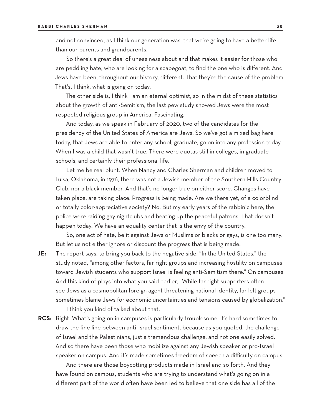and not convinced, as I think our generation was, that we're going to have a better life than our parents and grandparents.

So there's a great deal of uneasiness about and that makes it easier for those who are peddling hate, who are looking for a scapegoat, to find the one who is different. And Jews have been, throughout our history, different. That they're the cause of the problem. That's, I think, what is going on today.

The other side is, I think I am an eternal optimist, so in the midst of these statistics about the growth of anti-Semitism, the last pew study showed Jews were the most respected religious group in America. Fascinating.

And today, as we speak in February of 2020, two of the candidates for the presidency of the United States of America are Jews. So we've got a mixed bag here today, that Jews are able to enter any school, graduate, go on into any profession today. When I was a child that wasn't true. There were quotas still in colleges, in graduate schools, and certainly their professional life.

Let me be real blunt. When Nancy and Charles Sherman and children moved to Tulsa, Oklahoma, in 1976, there was not a Jewish member of the Southern Hills Country Club, nor a black member. And that's no longer true on either score. Changes have taken place, are taking place. Progress is being made. Are we there yet, of a colorblind or totally color-appreciative society? No. But my early years of the rabbinic here, the police were raiding gay nightclubs and beating up the peaceful patrons. That doesn't happen today. We have an equality center that is the envy of the country.

So, one act of hate, be it against Jews or Muslims or blacks or gays, is one too many. But let us not either ignore or discount the progress that is being made.

**JE:** The report says, to bring you back to the negative side, "In the United States," the study noted, "among other factors, far right groups and increasing hostility on campuses toward Jewish students who support Israel is feeling anti-Semitism there." On campuses. And this kind of plays into what you said earlier, "While far right supporters often see Jews as a cosmopolitan foreign agent threatening national identity, far left groups sometimes blame Jews for economic uncertainties and tensions caused by globalization."

I think you kind of talked about that.

**RCS:** Right. What's going on in campuses is particularly troublesome. It's hard sometimes to draw the fine line between anti-Israel sentiment, because as you quoted, the challenge of Israel and the Palestinians, just a tremendous challenge, and not one easily solved. And so there have been those who mobilize against any Jewish speaker or pro-Israel speaker on campus. And it's made sometimes freedom of speech a difficulty on campus.

And there are those boycotting products made in Israel and so forth. And they have found on campus, students who are trying to understand what's going on in a different part of the world often have been led to believe that one side has all of the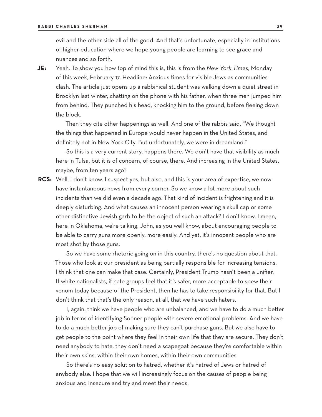evil and the other side all of the good. And that's unfortunate, especially in institutions of higher education where we hope young people are learning to see grace and nuances and so forth.

**JE:** Yeah. To show you how top of mind this is, this is from the *New York Times*, Monday of this week, February 17. Headline: Anxious times for visible Jews as communities clash. The article just opens up a rabbinical student was walking down a quiet street in Brooklyn last winter, chatting on the phone with his father, when three men jumped him from behind. They punched his head, knocking him to the ground, before fleeing down the block.

Then they cite other happenings as well. And one of the rabbis said, "We thought the things that happened in Europe would never happen in the United States, and definitely not in New York City. But unfortunately, we were in dreamland."

So this is a very current story, happens there. We don't have that visibility as much here in Tulsa, but it is of concern, of course, there. And increasing in the United States, maybe, from ten years ago?

**RCS:** Well, I don't know. I suspect yes, but also, and this is your area of expertise, we now have instantaneous news from every corner. So we know a lot more about such incidents than we did even a decade ago. That kind of incident is frightening and it is deeply disturbing. And what causes an innocent person wearing a skull cap or some other distinctive Jewish garb to be the object of such an attack? I don't know. I mean, here in Oklahoma, we're talking, John, as you well know, about encouraging people to be able to carry guns more openly, more easily. And yet, it's innocent people who are most shot by those guns.

So we have some rhetoric going on in this country, there's no question about that. Those who look at our president as being partially responsible for increasing tensions, I think that one can make that case. Certainly, President Trump hasn't been a unifier. If white nationalists, if hate groups feel that it's safer, more acceptable to spew their venom today because of the President, then he has to take responsibility for that. But I don't think that that's the only reason, at all, that we have such haters.

I, again, think we have people who are unbalanced, and we have to do a much better job in terms of identifying Sooner people with severe emotional problems. And we have to do a much better job of making sure they can't purchase guns. But we also have to get people to the point where they feel in their own life that they are secure. They don't need anybody to hate, they don't need a scapegoat because they're comfortable within their own skins, within their own homes, within their own communities.

So there's no easy solution to hatred, whether it's hatred of Jews or hatred of anybody else. I hope that we will increasingly focus on the causes of people being anxious and insecure and try and meet their needs.